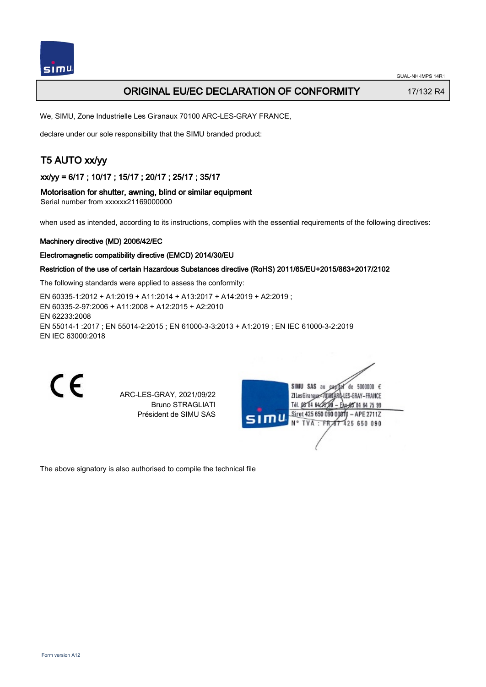

# ORIGINAL EU/EC DECLARATION OF CONFORMITY 17/132 R4

We, SIMU, Zone Industrielle Les Giranaux 70100 ARC-LES-GRAY FRANCE,

declare under our sole responsibility that the SIMU branded product:

# T5 AUTO xx/yy

xx/yy = 6/17 ; 10/17 ; 15/17 ; 20/17 ; 25/17 ; 35/17

#### Motorisation for shutter, awning, blind or similar equipment

Serial number from xxxxxx21169000000

when used as intended, according to its instructions, complies with the essential requirements of the following directives:

#### Machinery directive (MD) 2006/42/EC

#### Electromagnetic compatibility directive (EMCD) 2014/30/EU

## Restriction of the use of certain Hazardous Substances directive (RoHS) 2011/65/EU+2015/863+2017/2102

The following standards were applied to assess the conformity:

EN 60335‑1:2012 + A1:2019 + A11:2014 + A13:2017 + A14:2019 + A2:2019 ; EN 60335‑2‑97:2006 + A11:2008 + A12:2015 + A2:2010 EN 62233:2008 EN 55014‑1 :2017 ; EN 55014‑2:2015 ; EN 61000‑3‑3:2013 + A1:2019 ; EN IEC 61000‑3‑2:2019 EN IEC 63000:2018

C E

ARC-LES-GRAY, 2021/09/22 Bruno STRAGLIATI Président de SIMU SAS



The above signatory is also authorised to compile the technical file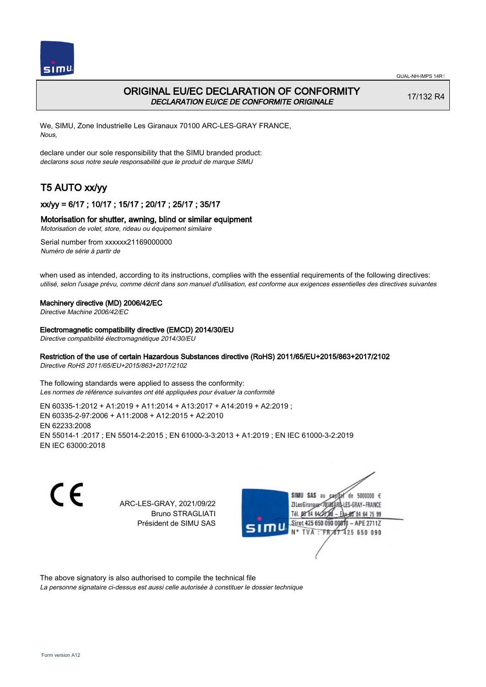

# ORIGINAL EU/EC DECLARATION OF CONFORMITY DECLARATION EU/CE DE CONFORMITE ORIGINALE

17/132 R4

We, SIMU, Zone Industrielle Les Giranaux 70100 ARC-LES-GRAY FRANCE, Nous,

declare under our sole responsibility that the SIMU branded product: declarons sous notre seule responsabilité que le produit de marque SIMU

# T5 AUTO xx/yy

## xx/yy = 6/17 ; 10/17 ; 15/17 ; 20/17 ; 25/17 ; 35/17

## Motorisation for shutter, awning, blind or similar equipment

Motorisation de volet, store, rideau ou équipement similaire

Serial number from xxxxxx21169000000 Numéro de série à partir de

when used as intended, according to its instructions, complies with the essential requirements of the following directives: utilisé, selon l'usage prévu, comme décrit dans son manuel d'utilisation, est conforme aux exigences essentielles des directives suivantes

#### Machinery directive (MD) 2006/42/EC

Directive Machine 2006/42/EC

#### Electromagnetic compatibility directive (EMCD) 2014/30/EU

Directive compatibilité électromagnétique 2014/30/EU

## Restriction of the use of certain Hazardous Substances directive (RoHS) 2011/65/EU+2015/863+2017/2102

Directive RoHS 2011/65/EU+2015/863+2017/2102

The following standards were applied to assess the conformity: Les normes de référence suivantes ont été appliquées pour évaluer la conformité

EN 60335‑1:2012 + A1:2019 + A11:2014 + A13:2017 + A14:2019 + A2:2019 ; EN 60335‑2‑97:2006 + A11:2008 + A12:2015 + A2:2010 EN 62233:2008 EN 55014‑1 :2017 ; EN 55014‑2:2015 ; EN 61000‑3‑3:2013 + A1:2019 ; EN IEC 61000‑3‑2:2019 EN IEC 63000:2018

C E

ARC-LES-GRAY, 2021/09/22 Bruno STRAGLIATI Président de SIMU SAS



The above signatory is also authorised to compile the technical file

La personne signataire ci-dessus est aussi celle autorisée à constituer le dossier technique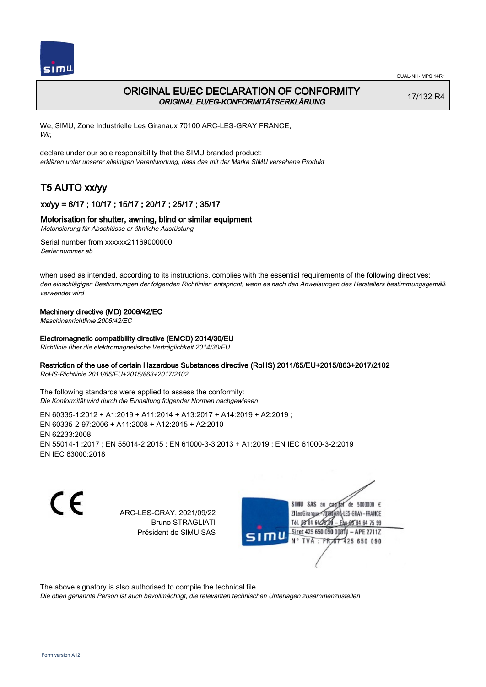

# ORIGINAL EU/EC DECLARATION OF CONFORMITY ORIGINAL EU/EG-KONFORMITÄTSERKLÄRUNG

17/132 R4

We, SIMU, Zone Industrielle Les Giranaux 70100 ARC-LES-GRAY FRANCE, Wir,

declare under our sole responsibility that the SIMU branded product: erklären unter unserer alleinigen Verantwortung, dass das mit der Marke SIMU versehene Produkt

# T5 AUTO xx/yy

## xx/yy = 6/17 ; 10/17 ; 15/17 ; 20/17 ; 25/17 ; 35/17

## Motorisation for shutter, awning, blind or similar equipment

Motorisierung für Abschlüsse or ähnliche Ausrüstung

Serial number from xxxxxx21169000000 Seriennummer ab

when used as intended, according to its instructions, complies with the essential requirements of the following directives: den einschlägigen Bestimmungen der folgenden Richtlinien entspricht, wenn es nach den Anweisungen des Herstellers bestimmungsgemäß verwendet wird

## Machinery directive (MD) 2006/42/EC

Maschinenrichtlinie 2006/42/EC

### Electromagnetic compatibility directive (EMCD) 2014/30/EU

Richtlinie über die elektromagnetische Verträglichkeit 2014/30/EU

### Restriction of the use of certain Hazardous Substances directive (RoHS) 2011/65/EU+2015/863+2017/2102

RoHS-Richtlinie 2011/65/EU+2015/863+2017/2102

The following standards were applied to assess the conformity: Die Konformität wird durch die Einhaltung folgender Normen nachgewiesen

EN 60335‑1:2012 + A1:2019 + A11:2014 + A13:2017 + A14:2019 + A2:2019 ; EN 60335‑2‑97:2006 + A11:2008 + A12:2015 + A2:2010 EN 62233:2008 EN 55014‑1 :2017 ; EN 55014‑2:2015 ; EN 61000‑3‑3:2013 + A1:2019 ; EN IEC 61000‑3‑2:2019 EN IEC 63000:2018

 $\epsilon$ 

ARC-LES-GRAY, 2021/09/22 Bruno STRAGLIATI Président de SIMU SAS



The above signatory is also authorised to compile the technical file

Die oben genannte Person ist auch bevollmächtigt, die relevanten technischen Unterlagen zusammenzustellen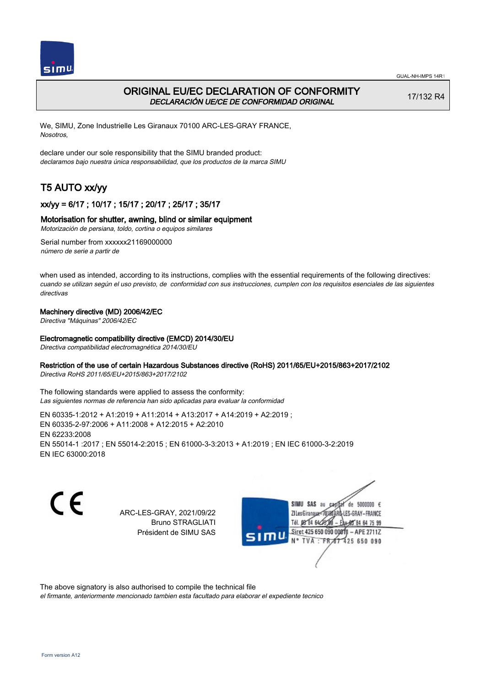



# ORIGINAL EU/EC DECLARATION OF CONFORMITY DECLARACIÓN UE/CE DE CONFORMIDAD ORIGINAL

17/132 R4

We, SIMU, Zone Industrielle Les Giranaux 70100 ARC-LES-GRAY FRANCE, Nosotros,

declare under our sole responsibility that the SIMU branded product: declaramos bajo nuestra única responsabilidad, que los productos de la marca SIMU

# T5 AUTO xx/yy

## xx/yy = 6/17 ; 10/17 ; 15/17 ; 20/17 ; 25/17 ; 35/17

## Motorisation for shutter, awning, blind or similar equipment

Motorización de persiana, toldo, cortina o equipos similares

Serial number from xxxxxx21169000000 número de serie a partir de

when used as intended, according to its instructions, complies with the essential requirements of the following directives: cuando se utilizan según el uso previsto, de conformidad con sus instrucciones, cumplen con los requisitos esenciales de las siguientes directivas

### Machinery directive (MD) 2006/42/EC

Directiva "Máquinas" 2006/42/EC

### Electromagnetic compatibility directive (EMCD) 2014/30/EU

Directiva compatibilidad electromagnética 2014/30/EU

### Restriction of the use of certain Hazardous Substances directive (RoHS) 2011/65/EU+2015/863+2017/2102

Directiva RoHS 2011/65/EU+2015/863+2017/2102

The following standards were applied to assess the conformity: Las siguientes normas de referencia han sido aplicadas para evaluar la conformidad

EN 60335‑1:2012 + A1:2019 + A11:2014 + A13:2017 + A14:2019 + A2:2019 ; EN 60335‑2‑97:2006 + A11:2008 + A12:2015 + A2:2010 EN 62233:2008 EN 55014‑1 :2017 ; EN 55014‑2:2015 ; EN 61000‑3‑3:2013 + A1:2019 ; EN IEC 61000‑3‑2:2019 EN IEC 63000:2018

 $\epsilon$ 

ARC-LES-GRAY, 2021/09/22 Bruno STRAGLIATI Président de SIMU SAS



The above signatory is also authorised to compile the technical file

el firmante, anteriormente mencionado tambien esta facultado para elaborar el expediente tecnico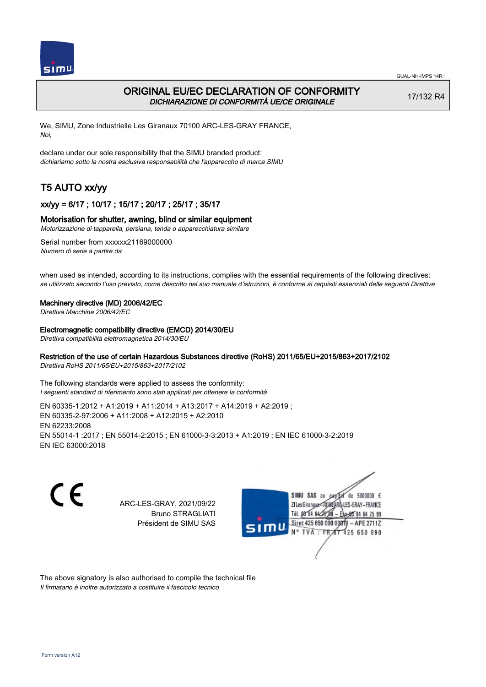

# ORIGINAL EU/EC DECLARATION OF CONFORMITY DICHIARAZIONE DI CONFORMITÀ UE/CE ORIGINALE

17/132 R4

We, SIMU, Zone Industrielle Les Giranaux 70100 ARC-LES-GRAY FRANCE, Noi,

declare under our sole responsibility that the SIMU branded product: dichiariamo sotto la nostra esclusiva responsabilità che l'appareccho di marca SIMU

# T5 AUTO xx/yy

## xx/yy = 6/17 ; 10/17 ; 15/17 ; 20/17 ; 25/17 ; 35/17

#### Motorisation for shutter, awning, blind or similar equipment

Motorizzazione di tapparella, persiana, tenda o apparecchiatura similare

Serial number from xxxxxx21169000000 Numero di serie a partire da

when used as intended, according to its instructions, complies with the essential requirements of the following directives: se utilizzato secondo l'uso previsto, come descritto nel suo manuale d'istruzioni, è conforme ai requisiti essenziali delle seguenti Direttive

#### Machinery directive (MD) 2006/42/EC

Direttiva Macchine 2006/42/EC

#### Electromagnetic compatibility directive (EMCD) 2014/30/EU

Direttiva compatibilità elettromagnetica 2014/30/EU

## Restriction of the use of certain Hazardous Substances directive (RoHS) 2011/65/EU+2015/863+2017/2102

Direttiva RoHS 2011/65/EU+2015/863+2017/2102

The following standards were applied to assess the conformity: I seguenti standard di riferimento sono stati applicati per ottenere la conformità

EN 60335‑1:2012 + A1:2019 + A11:2014 + A13:2017 + A14:2019 + A2:2019 ; EN 60335‑2‑97:2006 + A11:2008 + A12:2015 + A2:2010 EN 62233:2008 EN 55014‑1 :2017 ; EN 55014‑2:2015 ; EN 61000‑3‑3:2013 + A1:2019 ; EN IEC 61000‑3‑2:2019 EN IEC 63000:2018

C E

ARC-LES-GRAY, 2021/09/22 Bruno STRAGLIATI Président de SIMU SAS



The above signatory is also authorised to compile the technical file Il firmatario è inoltre autorizzato a costituire il fascicolo tecnico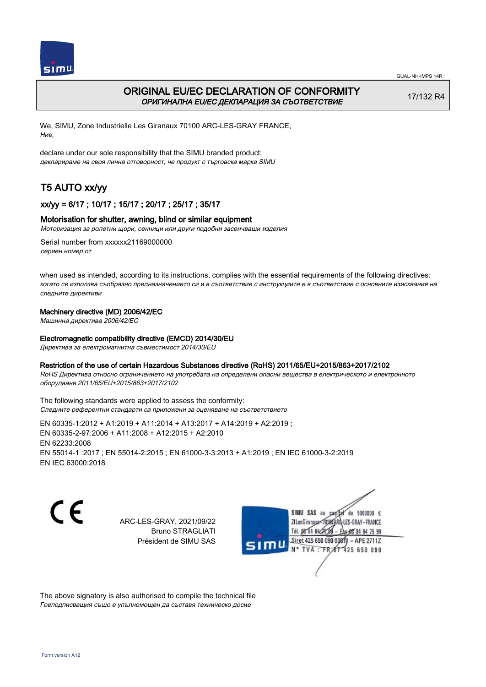



# ORIGINAL EU/EC DECLARATION OF CONFORMITY ОРИГИНАЛНА EU/EC ДЕКЛАРАЦИЯ ЗА СЪОТВЕТСТВИЕ

17/132 R4

We, SIMU, Zone Industrielle Les Giranaux 70100 ARC-LES-GRAY FRANCE, Ние,

declare under our sole responsibility that the SIMU branded product: декларираме на своя лична отговорност, че продукт с търговска марка SIMU

# T5 AUTO xx/yy

## xx/yy = 6/17 ; 10/17 ; 15/17 ; 20/17 ; 25/17 ; 35/17

### Motorisation for shutter, awning, blind or similar equipment

Моторизация за ролетни щори, сенници или други подобни засенчващи изделия

Serial number from xxxxxx21169000000 сериен номер от

when used as intended, according to its instructions, complies with the essential requirements of the following directives: когато се използва съобразно предназначението си и в съответствие с инструкциите е в съответствие с основните изисквания на следните директиви

### Machinery directive (MD) 2006/42/EC

Машинна директива 2006/42/EC

### Electromagnetic compatibility directive (EMCD) 2014/30/EU

Директива за електромагнитна съвместимост 2014/30/EU

#### Restriction of the use of certain Hazardous Substances directive (RoHS) 2011/65/EU+2015/863+2017/2102

RoHS Директива относно ограничението на употребата на определени опасни вещества в електрическото и електронното оборудване 2011/65/EU+2015/863+2017/2102

The following standards were applied to assess the conformity: Следните референтни стандарти са приложени за оценяване на съответствието

EN 60335‑1:2012 + A1:2019 + A11:2014 + A13:2017 + A14:2019 + A2:2019 ; EN 60335‑2‑97:2006 + A11:2008 + A12:2015 + A2:2010 EN 62233:2008 EN 55014‑1 :2017 ; EN 55014‑2:2015 ; EN 61000‑3‑3:2013 + A1:2019 ; EN IEC 61000‑3‑2:2019 EN IEC 63000:2018

C E

ARC-LES-GRAY, 2021/09/22 Bruno STRAGLIATI Président de SIMU SAS

SIMU SAS au  $cardiz$  de 5000000  $\epsilon$ LES-GRAY-FRANCE ZI Les Giranaux</DJ80AF Tél. 08 84 64 28 584 64 75 99 Siret 425 650 090 008TV  $-$  APE 2711Z N° TVA : FRAT 425 650 090

The above signatory is also authorised to compile the technical file Гоеподписващия също е упълномощен да съставя техническо досие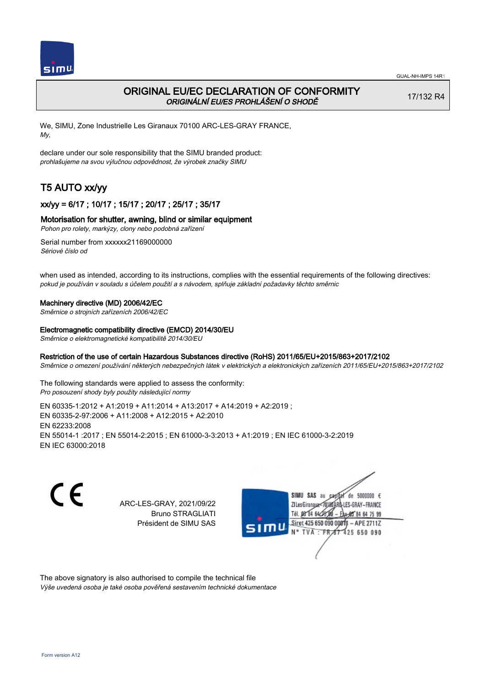

# ORIGINAL EU/EC DECLARATION OF CONFORMITY ORIGINÁLNÍ EU/ES PROHLÁŠENÍ O SHODĚ

17/132 R4

We, SIMU, Zone Industrielle Les Giranaux 70100 ARC-LES-GRAY FRANCE, My,

declare under our sole responsibility that the SIMU branded product: prohlašujeme na svou výlučnou odpovědnost, že výrobek značky SIMU

# T5 AUTO xx/yy

## xx/yy = 6/17 ; 10/17 ; 15/17 ; 20/17 ; 25/17 ; 35/17

## Motorisation for shutter, awning, blind or similar equipment

Pohon pro rolety, markýzy, clony nebo podobná zařízení

Serial number from xxxxxx21169000000 Sériové číslo od

when used as intended, according to its instructions, complies with the essential requirements of the following directives: pokud je používán v souladu s účelem použití a s návodem, splňuje základní požadavky těchto směrnic

#### Machinery directive (MD) 2006/42/EC

Směrnice o strojních zařízeních 2006/42/EC

#### Electromagnetic compatibility directive (EMCD) 2014/30/EU

Směrnice o elektromagnetické kompatibilitě 2014/30/EU

### Restriction of the use of certain Hazardous Substances directive (RoHS) 2011/65/EU+2015/863+2017/2102

Směrnice o omezení používání některých nebezpečných látek v elektrických a elektronických zařízeních 2011/65/EU+2015/863+2017/2102

The following standards were applied to assess the conformity: Pro posouzení shody byly použity následující normy

EN 60335‑1:2012 + A1:2019 + A11:2014 + A13:2017 + A14:2019 + A2:2019 ; EN 60335‑2‑97:2006 + A11:2008 + A12:2015 + A2:2010 EN 62233:2008 EN 55014‑1 :2017 ; EN 55014‑2:2015 ; EN 61000‑3‑3:2013 + A1:2019 ; EN IEC 61000‑3‑2:2019 EN IEC 63000:2018

C E

ARC-LES-GRAY, 2021/09/22 Bruno STRAGLIATI Président de SIMU SAS



The above signatory is also authorised to compile the technical file Výše uvedená osoba je také osoba pověřená sestavením technické dokumentace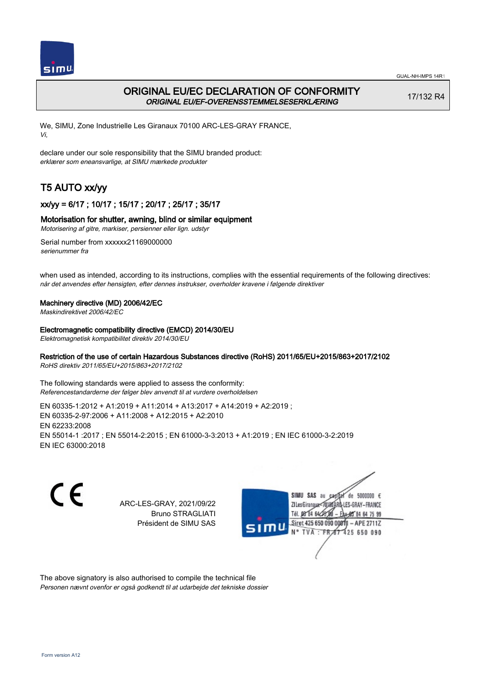



# ORIGINAL EU/EC DECLARATION OF CONFORMITY ORIGINAL EU/EF-OVERENSSTEMMELSESERKLÆRING

17/132 R4

We, SIMU, Zone Industrielle Les Giranaux 70100 ARC-LES-GRAY FRANCE, Vi,

declare under our sole responsibility that the SIMU branded product: erklærer som eneansvarlige, at SIMU mærkede produkter

# T5 AUTO xx/yy

## xx/yy = 6/17 ; 10/17 ; 15/17 ; 20/17 ; 25/17 ; 35/17

## Motorisation for shutter, awning, blind or similar equipment

Motorisering af gitre, markiser, persienner eller lign. udstyr

Serial number from xxxxxx21169000000 serienummer fra

when used as intended, according to its instructions, complies with the essential requirements of the following directives: når det anvendes efter hensigten, efter dennes instrukser, overholder kravene i følgende direktiver

#### Machinery directive (MD) 2006/42/EC

Maskindirektivet 2006/42/EC

#### Electromagnetic compatibility directive (EMCD) 2014/30/EU

Elektromagnetisk kompatibilitet direktiv 2014/30/EU

## Restriction of the use of certain Hazardous Substances directive (RoHS) 2011/65/EU+2015/863+2017/2102

RoHS direktiv 2011/65/EU+2015/863+2017/2102

The following standards were applied to assess the conformity: Referencestandarderne der følger blev anvendt til at vurdere overholdelsen

EN 60335‑1:2012 + A1:2019 + A11:2014 + A13:2017 + A14:2019 + A2:2019 ; EN 60335‑2‑97:2006 + A11:2008 + A12:2015 + A2:2010 EN 62233:2008 EN 55014‑1 :2017 ; EN 55014‑2:2015 ; EN 61000‑3‑3:2013 + A1:2019 ; EN IEC 61000‑3‑2:2019 EN IEC 63000:2018

C E

ARC-LES-GRAY, 2021/09/22 Bruno STRAGLIATI Président de SIMU SAS



The above signatory is also authorised to compile the technical file Personen nævnt ovenfor er også godkendt til at udarbejde det tekniske dossier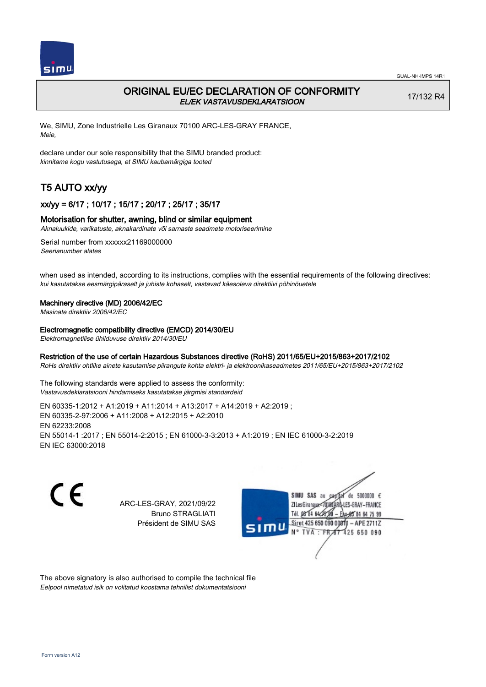

# ORIGINAL EU/EC DECLARATION OF CONFORMITY EL/EK VASTAVUSDEKLARATSIOON

17/132 R4

We, SIMU, Zone Industrielle Les Giranaux 70100 ARC-LES-GRAY FRANCE, Meie,

declare under our sole responsibility that the SIMU branded product: kinnitame kogu vastutusega, et SIMU kaubamärgiga tooted

# T5 AUTO xx/yy

## xx/yy = 6/17 ; 10/17 ; 15/17 ; 20/17 ; 25/17 ; 35/17

#### Motorisation for shutter, awning, blind or similar equipment

Aknaluukide, varikatuste, aknakardinate või sarnaste seadmete motoriseerimine

Serial number from xxxxxx21169000000 Seerianumber alates

when used as intended, according to its instructions, complies with the essential requirements of the following directives: kui kasutatakse eesmärgipäraselt ja juhiste kohaselt, vastavad käesoleva direktiivi põhinõuetele

#### Machinery directive (MD) 2006/42/EC

Masinate direktiiv 2006/42/EC

#### Electromagnetic compatibility directive (EMCD) 2014/30/EU

Elektromagnetilise ühilduvuse direktiiv 2014/30/EU

### Restriction of the use of certain Hazardous Substances directive (RoHS) 2011/65/EU+2015/863+2017/2102

RoHs direktiiv ohtlike ainete kasutamise piirangute kohta elektri- ja elektroonikaseadmetes 2011/65/EU+2015/863+2017/2102

The following standards were applied to assess the conformity: Vastavusdeklaratsiooni hindamiseks kasutatakse järgmisi standardeid

EN 60335‑1:2012 + A1:2019 + A11:2014 + A13:2017 + A14:2019 + A2:2019 ; EN 60335‑2‑97:2006 + A11:2008 + A12:2015 + A2:2010 EN 62233:2008 EN 55014‑1 :2017 ; EN 55014‑2:2015 ; EN 61000‑3‑3:2013 + A1:2019 ; EN IEC 61000‑3‑2:2019 EN IEC 63000:2018

C E

ARC-LES-GRAY, 2021/09/22 Bruno STRAGLIATI Président de SIMU SAS



The above signatory is also authorised to compile the technical file Eelpool nimetatud isik on volitatud koostama tehnilist dokumentatsiooni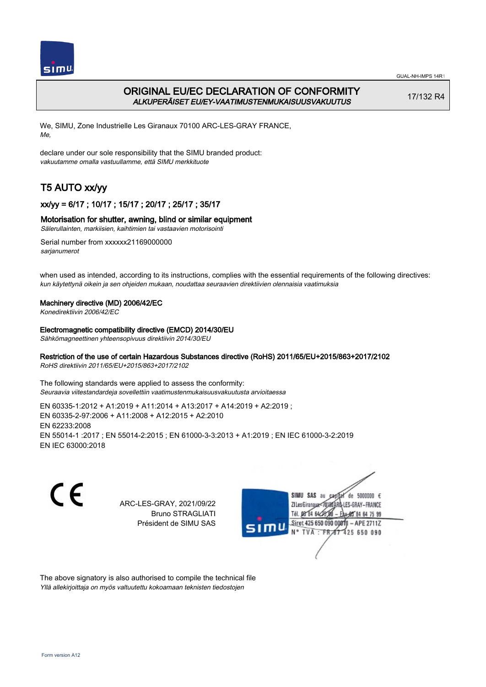

# ORIGINAL EU/EC DECLARATION OF CONFORMITY ALKUPERÄISET EU/EY-VAATIMUSTENMUKAISUUSVAKUUTUS

17/132 R4

We, SIMU, Zone Industrielle Les Giranaux 70100 ARC-LES-GRAY FRANCE, Me,

declare under our sole responsibility that the SIMU branded product: vakuutamme omalla vastuullamme, että SIMU merkkituote

# T5 AUTO xx/yy

## xx/yy = 6/17 ; 10/17 ; 15/17 ; 20/17 ; 25/17 ; 35/17

### Motorisation for shutter, awning, blind or similar equipment

Sälerullainten, markiisien, kaihtimien tai vastaavien motorisointi

Serial number from xxxxxx21169000000 sarianumerot

when used as intended, according to its instructions, complies with the essential requirements of the following directives: kun käytettynä oikein ja sen ohjeiden mukaan, noudattaa seuraavien direktiivien olennaisia vaatimuksia

### Machinery directive (MD) 2006/42/EC

Konedirektiivin 2006/42/EC

#### Electromagnetic compatibility directive (EMCD) 2014/30/EU

Sähkömagneettinen yhteensopivuus direktiivin 2014/30/EU

# Restriction of the use of certain Hazardous Substances directive (RoHS) 2011/65/EU+2015/863+2017/2102

RoHS direktiivin 2011/65/EU+2015/863+2017/2102

The following standards were applied to assess the conformity: Seuraavia viitestandardeja sovellettiin vaatimustenmukaisuusvakuutusta arvioitaessa

EN 60335‑1:2012 + A1:2019 + A11:2014 + A13:2017 + A14:2019 + A2:2019 ; EN 60335‑2‑97:2006 + A11:2008 + A12:2015 + A2:2010 EN 62233:2008 EN 55014‑1 :2017 ; EN 55014‑2:2015 ; EN 61000‑3‑3:2013 + A1:2019 ; EN IEC 61000‑3‑2:2019 EN IEC 63000:2018

C E

ARC-LES-GRAY, 2021/09/22 Bruno STRAGLIATI Président de SIMU SAS



The above signatory is also authorised to compile the technical file Yllä allekirjoittaja on myös valtuutettu kokoamaan teknisten tiedostojen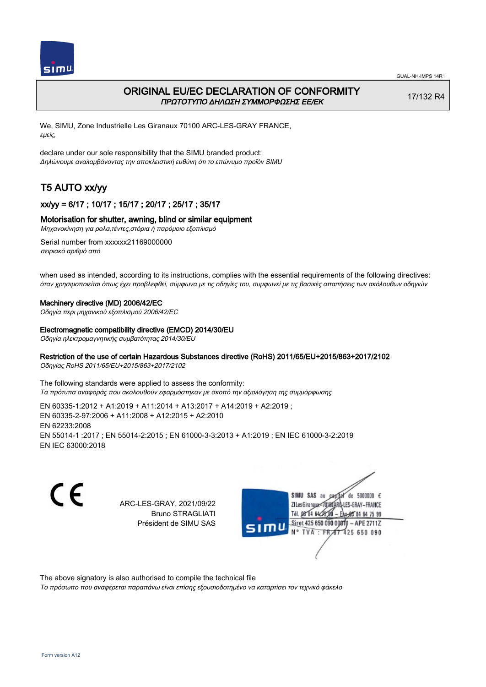

# ORIGINAL EU/EC DECLARATION OF CONFORMITY ΠΡΩΤΟΤΥΠΟ ΔΗΛΩΣΗ ΣΥΜΜΟΡΦΩΣΗΣ ΕΕ/EK

17/132 R4

We, SIMU, Zone Industrielle Les Giranaux 70100 ARC-LES-GRAY FRANCE, εμείς,

declare under our sole responsibility that the SIMU branded product: Δηλώνουμε αναλαμβάνοντας την αποκλειστική ευθύνη ότι το επώνυμο προϊόν SIMU

# T5 AUTO xx/yy

## xx/yy = 6/17 ; 10/17 ; 15/17 ; 20/17 ; 25/17 ; 35/17

### Motorisation for shutter, awning, blind or similar equipment

Μηχανοκίνηση για ρολα,τέντες,στόρια ή παρόμοιο εξοπλισμό

Serial number from xxxxxx21169000000 σειριακό αριθμό από

when used as intended, according to its instructions, complies with the essential requirements of the following directives: όταν χρησιμοποιείται όπως έχει προβλεφθεί, σύμφωνα με τις οδηγίες του, συμφωνεί με τις βασικές απαιτήσεις των ακόλουθων οδηγιών

#### Machinery directive (MD) 2006/42/EC

Οδηγία περι μηχανικού εξοπλισμού 2006/42/EC

#### Electromagnetic compatibility directive (EMCD) 2014/30/EU

Οδηγία ηλεκτρομαγνητικής συμβατότητας 2014/30/EU

#### Restriction of the use of certain Hazardous Substances directive (RoHS) 2011/65/EU+2015/863+2017/2102

Οδηγίας RoHS 2011/65/EU+2015/863+2017/2102

The following standards were applied to assess the conformity: Τα πρότυπα αναφοράς που ακολουθούν εφαρμόστηκαν με σκοπό την αξιολόγηση της συμμόρφωσης

EN 60335‑1:2012 + A1:2019 + A11:2014 + A13:2017 + A14:2019 + A2:2019 ; EN 60335‑2‑97:2006 + A11:2008 + A12:2015 + A2:2010 EN 62233:2008 EN 55014‑1 :2017 ; EN 55014‑2:2015 ; EN 61000‑3‑3:2013 + A1:2019 ; EN IEC 61000‑3‑2:2019 EN IEC 63000:2018

C E

ARC-LES-GRAY, 2021/09/22 Bruno STRAGLIATI Président de SIMU SAS



The above signatory is also authorised to compile the technical file

Το πρόσωπο που αναφέρεται παραπάνω είναι επίσης εξουσιοδοτημένο να καταρτίσει τον τεχνικό φάκελο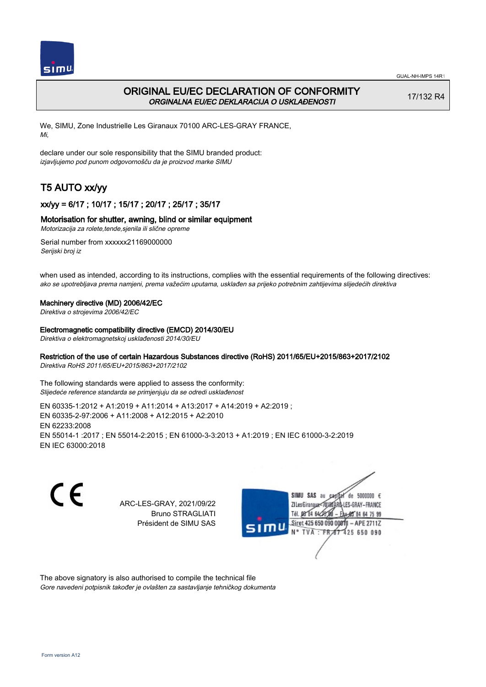

# ORIGINAL EU/EC DECLARATION OF CONFORMITY ORGINALNA EU/EC DEKLARACIJA O USKLAĐENOSTI

17/132 R4

We, SIMU, Zone Industrielle Les Giranaux 70100 ARC-LES-GRAY FRANCE, Mi,

declare under our sole responsibility that the SIMU branded product: izjavljujemo pod punom odgovornošču da je proizvod marke SIMU

# T5 AUTO xx/yy

## xx/yy = 6/17 ; 10/17 ; 15/17 ; 20/17 ; 25/17 ; 35/17

## Motorisation for shutter, awning, blind or similar equipment

Motorizacija za rolete,tende,sjenila ili slične opreme

Serial number from xxxxxx21169000000 Serijski broj iz

when used as intended, according to its instructions, complies with the essential requirements of the following directives: ako se upotrebljava prema namjeni, prema važećim uputama, usklađen sa prijeko potrebnim zahtijevima slijedećih direktiva

#### Machinery directive (MD) 2006/42/EC

Direktiva o strojevima 2006/42/EC

#### Electromagnetic compatibility directive (EMCD) 2014/30/EU

Direktiva o elektromagnetskoj usklađenosti 2014/30/EU

## Restriction of the use of certain Hazardous Substances directive (RoHS) 2011/65/EU+2015/863+2017/2102

Direktiva RoHS 2011/65/EU+2015/863+2017/2102

The following standards were applied to assess the conformity: Slijedeće reference standarda se primjenjuju da se odredi usklađenost

EN 60335‑1:2012 + A1:2019 + A11:2014 + A13:2017 + A14:2019 + A2:2019 ; EN 60335‑2‑97:2006 + A11:2008 + A12:2015 + A2:2010 EN 62233:2008 EN 55014‑1 :2017 ; EN 55014‑2:2015 ; EN 61000‑3‑3:2013 + A1:2019 ; EN IEC 61000‑3‑2:2019 EN IEC 63000:2018

C E

ARC-LES-GRAY, 2021/09/22 Bruno STRAGLIATI Président de SIMU SAS



The above signatory is also authorised to compile the technical file Gore navedeni potpisnik također je ovlašten za sastavljanje tehničkog dokumenta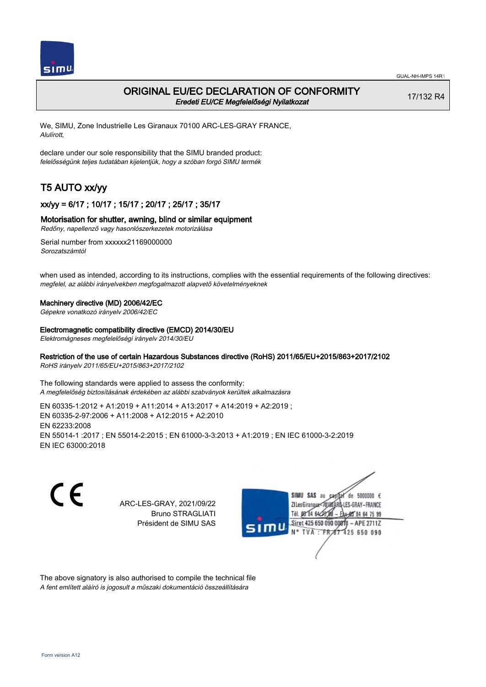

## ORIGINAL EU/EC DECLARATION OF CONFORMITY Eredeti EU/CE Megfelelőségi Nyilatkozat

17/132 R4

We, SIMU, Zone Industrielle Les Giranaux 70100 ARC-LES-GRAY FRANCE, Alulírott,

declare under our sole responsibility that the SIMU branded product: felelősségünk teljes tudatában kijelentjük, hogy a szóban forgó SIMU termék

# T5 AUTO xx/yy

## xx/yy = 6/17 ; 10/17 ; 15/17 ; 20/17 ; 25/17 ; 35/17

#### Motorisation for shutter, awning, blind or similar equipment

Redőny, napellenző vagy hasonlószerkezetek motorizálása

Serial number from xxxxxx21169000000 Sorozatszámtól

when used as intended, according to its instructions, complies with the essential requirements of the following directives: megfelel, az alábbi irányelvekben megfogalmazott alapvető követelményeknek

#### Machinery directive (MD) 2006/42/EC

Gépekre vonatkozó irányelv 2006/42/EC

#### Electromagnetic compatibility directive (EMCD) 2014/30/EU

Elektromágneses megfelelőségi irányelv 2014/30/EU

#### Restriction of the use of certain Hazardous Substances directive (RoHS) 2011/65/EU+2015/863+2017/2102

RoHS irányelv 2011/65/EU+2015/863+2017/2102

The following standards were applied to assess the conformity: A megfelelőség biztosításának érdekében az alábbi szabványok kerültek alkalmazásra

EN 60335‑1:2012 + A1:2019 + A11:2014 + A13:2017 + A14:2019 + A2:2019 ; EN 60335‑2‑97:2006 + A11:2008 + A12:2015 + A2:2010 EN 62233:2008 EN 55014‑1 :2017 ; EN 55014‑2:2015 ; EN 61000‑3‑3:2013 + A1:2019 ; EN IEC 61000‑3‑2:2019 EN IEC 63000:2018

C E

ARC-LES-GRAY, 2021/09/22 Bruno STRAGLIATI Président de SIMU SAS



The above signatory is also authorised to compile the technical file A fent említett aláíró is jogosult a műszaki dokumentáció összeállítására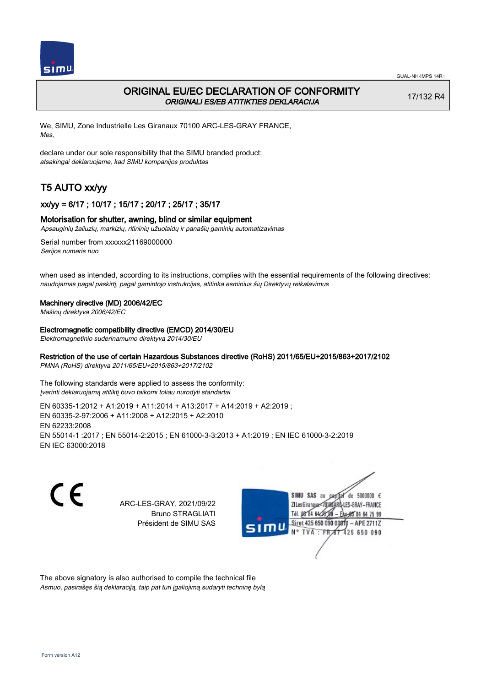

# ORIGINAL EU/EC DECLARATION OF CONFORMITY ORIGINALI ES/EB ATITIKTIES DEKLARACIJA

17/132 R4

We, SIMU, Zone Industrielle Les Giranaux 70100 ARC-LES-GRAY FRANCE, Mes,

declare under our sole responsibility that the SIMU branded product: atsakingai deklaruojame, kad SIMU kompanijos produktas

# T5 AUTO xx/yy

## xx/yy = 6/17 ; 10/17 ; 15/17 ; 20/17 ; 25/17 ; 35/17

### Motorisation for shutter, awning, blind or similar equipment

Apsauginių žaliuzių, markizių, ritininių užuolaidų ir panašių gaminių automatizavimas

Serial number from xxxxxx21169000000 Serijos numeris nuo

when used as intended, according to its instructions, complies with the essential requirements of the following directives: naudojamas pagal paskirtį, pagal gamintojo instrukcijas, atitinka esminius šių Direktyvų reikalavimus

### Machinery directive (MD) 2006/42/EC

Mašinų direktyva 2006/42/EC

Electromagnetic compatibility directive (EMCD) 2014/30/EU

Elektromagnetinio suderinamumo direktyva 2014/30/EU

## Restriction of the use of certain Hazardous Substances directive (RoHS) 2011/65/EU+2015/863+2017/2102

PMNA (RoHS) direktyva 2011/65/EU+2015/863+2017/2102

The following standards were applied to assess the conformity: Įverinti deklaruojamą atitiktį buvo taikomi toliau nurodyti standartai

EN 60335‑1:2012 + A1:2019 + A11:2014 + A13:2017 + A14:2019 + A2:2019 ; EN 60335‑2‑97:2006 + A11:2008 + A12:2015 + A2:2010 EN 62233:2008 EN 55014‑1 :2017 ; EN 55014‑2:2015 ; EN 61000‑3‑3:2013 + A1:2019 ; EN IEC 61000‑3‑2:2019 EN IEC 63000:2018

C E

ARC-LES-GRAY, 2021/09/22 Bruno STRAGLIATI Président de SIMU SAS



The above signatory is also authorised to compile the technical file Asmuo, pasirašęs šią deklaraciją, taip pat turi įgaliojimą sudaryti techninę bylą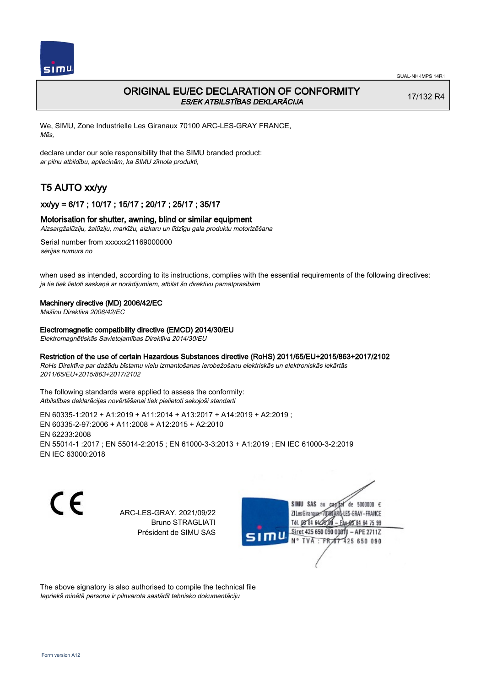

# ORIGINAL EU/EC DECLARATION OF CONFORMITY ES/EK ATBILSTĪBAS DEKLARĀCIJA

17/132 R4

We, SIMU, Zone Industrielle Les Giranaux 70100 ARC-LES-GRAY FRANCE, Mēs,

declare under our sole responsibility that the SIMU branded product: ar pilnu atbildību, apliecinām, ka SIMU zīmola produkti,

# T5 AUTO xx/yy

## xx/yy = 6/17 ; 10/17 ; 15/17 ; 20/17 ; 25/17 ; 35/17

#### Motorisation for shutter, awning, blind or similar equipment

Aizsargžalūziju, žalūziju, markīžu, aizkaru un līdzīgu gala produktu motorizēšana

Serial number from xxxxxx21169000000 sērijas numurs no

when used as intended, according to its instructions, complies with the essential requirements of the following directives: ja tie tiek lietoti saskaņā ar norādījumiem, atbilst šo direktīvu pamatprasībām

#### Machinery directive (MD) 2006/42/EC

Mašīnu Direktīva 2006/42/EC

Electromagnetic compatibility directive (EMCD) 2014/30/EU

Elektromagnētiskās Savietojamības Direktīva 2014/30/EU

#### Restriction of the use of certain Hazardous Substances directive (RoHS) 2011/65/EU+2015/863+2017/2102

RoHs Direktīva par dažādu bīstamu vielu izmantošanas ierobežošanu elektriskās un elektroniskās iekārtās 2011/65/EU+2015/863+2017/2102

The following standards were applied to assess the conformity: Atbilstības deklarācijas novērtēšanai tiek pielietoti sekojoši standarti

EN 60335‑1:2012 + A1:2019 + A11:2014 + A13:2017 + A14:2019 + A2:2019 ; EN 60335‑2‑97:2006 + A11:2008 + A12:2015 + A2:2010 EN 62233:2008 EN 55014‑1 :2017 ; EN 55014‑2:2015 ; EN 61000‑3‑3:2013 + A1:2019 ; EN IEC 61000‑3‑2:2019 EN IEC 63000:2018

 $\epsilon$ 

ARC-LES-GRAY, 2021/09/22 Bruno STRAGLIATI Président de SIMU SAS



The above signatory is also authorised to compile the technical file Iepriekš minētā persona ir pilnvarota sastādīt tehnisko dokumentāciju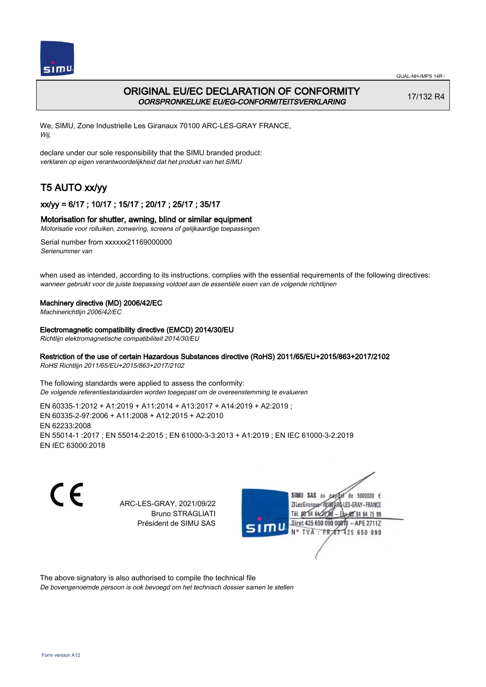

# ORIGINAL EU/EC DECLARATION OF CONFORMITY OORSPRONKELIJKE EU/EG-CONFORMITEITSVERKLARING

17/132 R4

We, SIMU, Zone Industrielle Les Giranaux 70100 ARC-LES-GRAY FRANCE, Wij,

declare under our sole responsibility that the SIMU branded product: verklaren op eigen verantwoordelijkheid dat het produkt van het SIMU

# T5 AUTO xx/yy

## xx/yy = 6/17 ; 10/17 ; 15/17 ; 20/17 ; 25/17 ; 35/17

## Motorisation for shutter, awning, blind or similar equipment

Motorisatie voor rolluiken, zonwering, screens of gelijkaardige toepassingen

Serial number from xxxxxx21169000000 Serienummer van

when used as intended, according to its instructions, complies with the essential requirements of the following directives: wanneer gebruikt voor de juiste toepassing voldoet aan de essentiële eisen van de volgende richtlijnen

### Machinery directive (MD) 2006/42/EC

Machinerichtlijn 2006/42/EC

Electromagnetic compatibility directive (EMCD) 2014/30/EU

Richtlijn elektromagnetische compatibiliteit 2014/30/EU

## Restriction of the use of certain Hazardous Substances directive (RoHS) 2011/65/EU+2015/863+2017/2102

RoHS Richtlijn 2011/65/EU+2015/863+2017/2102

The following standards were applied to assess the conformity: De volgende referentiestandaarden worden toegepast om de overeenstemming te evalueren

EN 60335‑1:2012 + A1:2019 + A11:2014 + A13:2017 + A14:2019 + A2:2019 ; EN 60335‑2‑97:2006 + A11:2008 + A12:2015 + A2:2010 EN 62233:2008 EN 55014‑1 :2017 ; EN 55014‑2:2015 ; EN 61000‑3‑3:2013 + A1:2019 ; EN IEC 61000‑3‑2:2019 EN IEC 63000:2018

C E

ARC-LES-GRAY, 2021/09/22 Bruno STRAGLIATI Président de SIMU SAS



The above signatory is also authorised to compile the technical file

De bovengenoemde persoon is ook bevoegd om het technisch dossier samen te stellen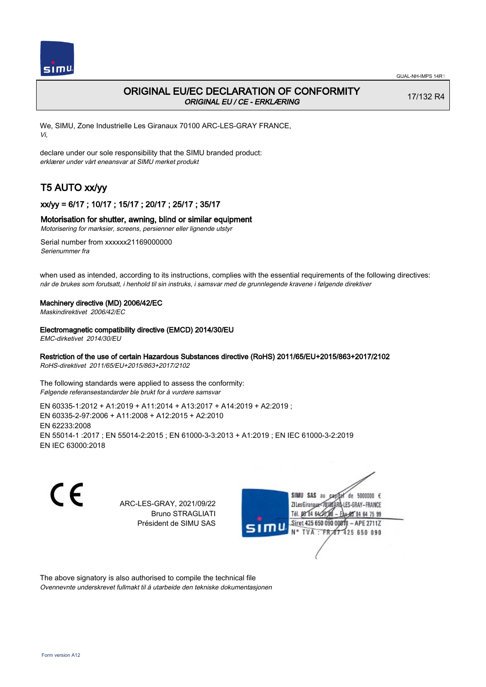

# ORIGINAL EU/EC DECLARATION OF CONFORMITY ORIGINAL EU / CE - ERKLÆRING

17/132 R4

We, SIMU, Zone Industrielle Les Giranaux 70100 ARC-LES-GRAY FRANCE, Vi,

declare under our sole responsibility that the SIMU branded product: erklærer under vårt eneansvar at SIMU merket produkt

# T5 AUTO xx/yy

## xx/yy = 6/17 ; 10/17 ; 15/17 ; 20/17 ; 25/17 ; 35/17

#### Motorisation for shutter, awning, blind or similar equipment

Motorisering for marksier, screens, persienner eller lignende utstyr

Serial number from xxxxxx21169000000 Serienummer fra

when used as intended, according to its instructions, complies with the essential requirements of the following directives: når de brukes som forutsatt, i henhold til sin instruks, i samsvar med de grunnlegende kravene i følgende direktiver

#### Machinery directive (MD) 2006/42/EC

Maskindirektivet 2006/42/EC

#### Electromagnetic compatibility directive (EMCD) 2014/30/EU

EMC-dirketivet 2014/30/EU

## Restriction of the use of certain Hazardous Substances directive (RoHS) 2011/65/EU+2015/863+2017/2102

RoHS-direktivet 2011/65/EU+2015/863+2017/2102

The following standards were applied to assess the conformity: Følgende referansestandarder ble brukt for å vurdere samsvar

EN 60335‑1:2012 + A1:2019 + A11:2014 + A13:2017 + A14:2019 + A2:2019 ; EN 60335‑2‑97:2006 + A11:2008 + A12:2015 + A2:2010 EN 62233:2008 EN 55014‑1 :2017 ; EN 55014‑2:2015 ; EN 61000‑3‑3:2013 + A1:2019 ; EN IEC 61000‑3‑2:2019 EN IEC 63000:2018

C E

ARC-LES-GRAY, 2021/09/22 Bruno STRAGLIATI Président de SIMU SAS



The above signatory is also authorised to compile the technical file Ovennevnte underskrevet fullmakt til å utarbeide den tekniske dokumentasjonen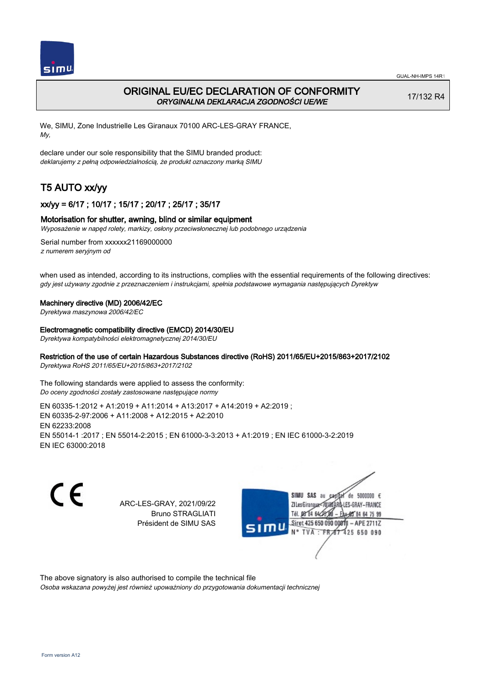

# ORIGINAL EU/EC DECLARATION OF CONFORMITY ORYGINALNA DEKLARACJA ZGODNOŚCI UE/WE

17/132 R4

We, SIMU, Zone Industrielle Les Giranaux 70100 ARC-LES-GRAY FRANCE, My,

declare under our sole responsibility that the SIMU branded product: deklarujemy z pełną odpowiedzialnością, że produkt oznaczony marką SIMU

# T5 AUTO xx/yy

## xx/yy = 6/17 ; 10/17 ; 15/17 ; 20/17 ; 25/17 ; 35/17

#### Motorisation for shutter, awning, blind or similar equipment

Wyposażenie w napęd rolety, markizy, osłony przeciwsłonecznej lub podobnego urządzenia

Serial number from xxxxxx21169000000 z numerem seryjnym od

when used as intended, according to its instructions, complies with the essential requirements of the following directives: gdy jest używany zgodnie z przeznaczeniem i instrukcjami, spełnia podstawowe wymagania następujących Dyrektyw

#### Machinery directive (MD) 2006/42/EC

Dyrektywa maszynowa 2006/42/EC

#### Electromagnetic compatibility directive (EMCD) 2014/30/EU

Dyrektywa kompatybilności elektromagnetycznej 2014/30/EU

## Restriction of the use of certain Hazardous Substances directive (RoHS) 2011/65/EU+2015/863+2017/2102

Dyrektywa RoHS 2011/65/EU+2015/863+2017/2102

The following standards were applied to assess the conformity: Do oceny zgodności zostały zastosowane następujące normy

EN 60335‑1:2012 + A1:2019 + A11:2014 + A13:2017 + A14:2019 + A2:2019 ; EN 60335‑2‑97:2006 + A11:2008 + A12:2015 + A2:2010 EN 62233:2008 EN 55014‑1 :2017 ; EN 55014‑2:2015 ; EN 61000‑3‑3:2013 + A1:2019 ; EN IEC 61000‑3‑2:2019 EN IEC 63000:2018

C E

ARC-LES-GRAY, 2021/09/22 Bruno STRAGLIATI Président de SIMU SAS



The above signatory is also authorised to compile the technical file

Osoba wskazana powyżej jest również upoważniony do przygotowania dokumentacji technicznej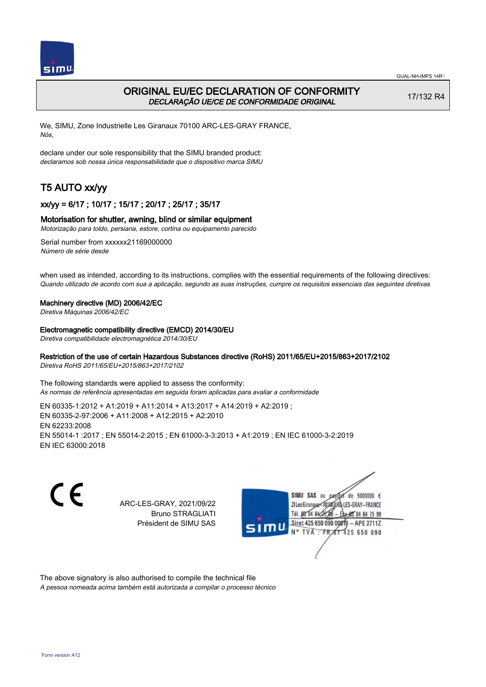

# ORIGINAL EU/EC DECLARATION OF CONFORMITY DECLARAÇÃO UE/CE DE CONFORMIDADE ORIGINAL

17/132 R4

We, SIMU, Zone Industrielle Les Giranaux 70100 ARC-LES-GRAY FRANCE, Nós,

declare under our sole responsibility that the SIMU branded product: declaramos sob nossa única responsabilidade que o dispositivo marca SIMU

# T5 AUTO xx/yy

## xx/yy = 6/17 ; 10/17 ; 15/17 ; 20/17 ; 25/17 ; 35/17

#### Motorisation for shutter, awning, blind or similar equipment

Motorização para toldo, persiana, estore, cortina ou equipamento parecido

Serial number from xxxxxx21169000000 Número de série desde

when used as intended, according to its instructions, complies with the essential requirements of the following directives: Quando utilizado de acordo com sua a aplicação, segundo as suas instruções, cumpre os requisitos essenciais das seguintes diretivas

#### Machinery directive (MD) 2006/42/EC

Diretiva Máquinas 2006/42/EC

Electromagnetic compatibility directive (EMCD) 2014/30/EU

Diretiva compatibilidade electromagnética 2014/30/EU

#### Restriction of the use of certain Hazardous Substances directive (RoHS) 2011/65/EU+2015/863+2017/2102

Diretiva RoHS 2011/65/EU+2015/863+2017/2102

The following standards were applied to assess the conformity: As normas de referência apresentadas em seguida foram aplicadas para avaliar a conformidade

EN 60335‑1:2012 + A1:2019 + A11:2014 + A13:2017 + A14:2019 + A2:2019 ; EN 60335‑2‑97:2006 + A11:2008 + A12:2015 + A2:2010 EN 62233:2008 EN 55014‑1 :2017 ; EN 55014‑2:2015 ; EN 61000‑3‑3:2013 + A1:2019 ; EN IEC 61000‑3‑2:2019 EN IEC 63000:2018

C E

ARC-LES-GRAY, 2021/09/22 Bruno STRAGLIATI Président de SIMU SAS



The above signatory is also authorised to compile the technical file

A pessoa nomeada acima também está autorizada a compilar o processo técnico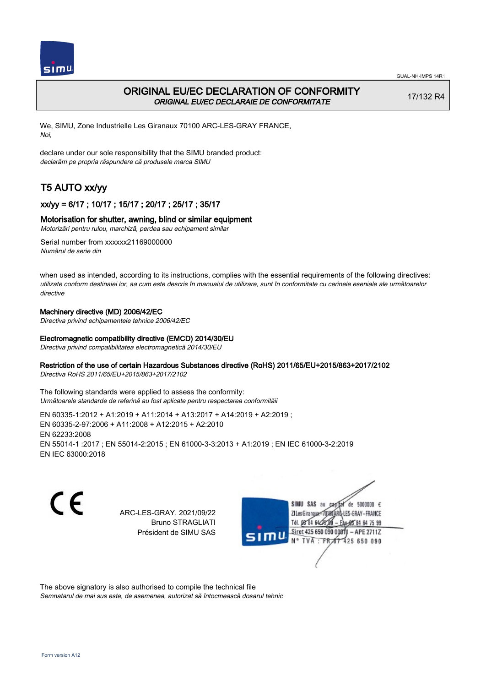



# ORIGINAL EU/EC DECLARATION OF CONFORMITY ORIGINAL EU/EC DECLARAIE DE CONFORMITATE

17/132 R4

We, SIMU, Zone Industrielle Les Giranaux 70100 ARC-LES-GRAY FRANCE, Noi,

declare under our sole responsibility that the SIMU branded product: declarăm pe propria răspundere că produsele marca SIMU

# T5 AUTO xx/yy

## xx/yy = 6/17 ; 10/17 ; 15/17 ; 20/17 ; 25/17 ; 35/17

## Motorisation for shutter, awning, blind or similar equipment

Motorizări pentru rulou, marchiză, perdea sau echipament similar

Serial number from xxxxxx21169000000 Numărul de serie din

when used as intended, according to its instructions, complies with the essential requirements of the following directives: utilizate conform destinaiei lor, aa cum este descris în manualul de utilizare, sunt în conformitate cu cerinele eseniale ale următoarelor directive

### Machinery directive (MD) 2006/42/EC

Directiva privind echipamentele tehnice 2006/42/EC

### Electromagnetic compatibility directive (EMCD) 2014/30/EU

Directiva privind compatibilitatea electromagnetică 2014/30/EU

### Restriction of the use of certain Hazardous Substances directive (RoHS) 2011/65/EU+2015/863+2017/2102

Directiva RoHS 2011/65/EU+2015/863+2017/2102

The following standards were applied to assess the conformity: Următoarele standarde de referină au fost aplicate pentru respectarea conformităii

EN 60335‑1:2012 + A1:2019 + A11:2014 + A13:2017 + A14:2019 + A2:2019 ; EN 60335‑2‑97:2006 + A11:2008 + A12:2015 + A2:2010 EN 62233:2008 EN 55014‑1 :2017 ; EN 55014‑2:2015 ; EN 61000‑3‑3:2013 + A1:2019 ; EN IEC 61000‑3‑2:2019 EN IEC 63000:2018

 $\epsilon$ 

ARC-LES-GRAY, 2021/09/22 Bruno STRAGLIATI Président de SIMU SAS



The above signatory is also authorised to compile the technical file

Semnatarul de mai sus este, de asemenea, autorizat să întocmească dosarul tehnic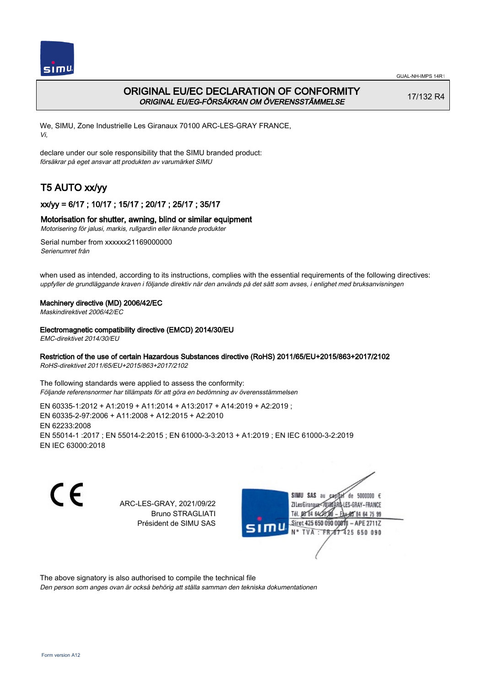

# ORIGINAL EU/EC DECLARATION OF CONFORMITY ORIGINAL EU/EG-FÖRSÄKRAN OM ÖVERENSSTÄMMELSE

17/132 R4

We, SIMU, Zone Industrielle Les Giranaux 70100 ARC-LES-GRAY FRANCE, Vi,

declare under our sole responsibility that the SIMU branded product: försäkrar på eget ansvar att produkten av varumärket SIMU

# T5 AUTO xx/yy

## xx/yy = 6/17 ; 10/17 ; 15/17 ; 20/17 ; 25/17 ; 35/17

## Motorisation for shutter, awning, blind or similar equipment

Motorisering för jalusi, markis, rullgardin eller liknande produkter

Serial number from xxxxxx21169000000 Serienumret från

when used as intended, according to its instructions, complies with the essential requirements of the following directives: uppfyller de grundläggande kraven i följande direktiv när den används på det sätt som avses, i enlighet med bruksanvisningen

### Machinery directive (MD) 2006/42/EC

Maskindirektivet 2006/42/EC

#### Electromagnetic compatibility directive (EMCD) 2014/30/EU

EMC-direktivet 2014/30/EU

### Restriction of the use of certain Hazardous Substances directive (RoHS) 2011/65/EU+2015/863+2017/2102

RoHS-direktivet 2011/65/EU+2015/863+2017/2102

The following standards were applied to assess the conformity: Följande referensnormer har tillämpats för att göra en bedömning av överensstämmelsen

EN 60335‑1:2012 + A1:2019 + A11:2014 + A13:2017 + A14:2019 + A2:2019 ; EN 60335‑2‑97:2006 + A11:2008 + A12:2015 + A2:2010 EN 62233:2008 EN 55014‑1 :2017 ; EN 55014‑2:2015 ; EN 61000‑3‑3:2013 + A1:2019 ; EN IEC 61000‑3‑2:2019 EN IEC 63000:2018

C E

ARC-LES-GRAY, 2021/09/22 Bruno STRAGLIATI Président de SIMU SAS



The above signatory is also authorised to compile the technical file

Den person som anges ovan är också behörig att ställa samman den tekniska dokumentationen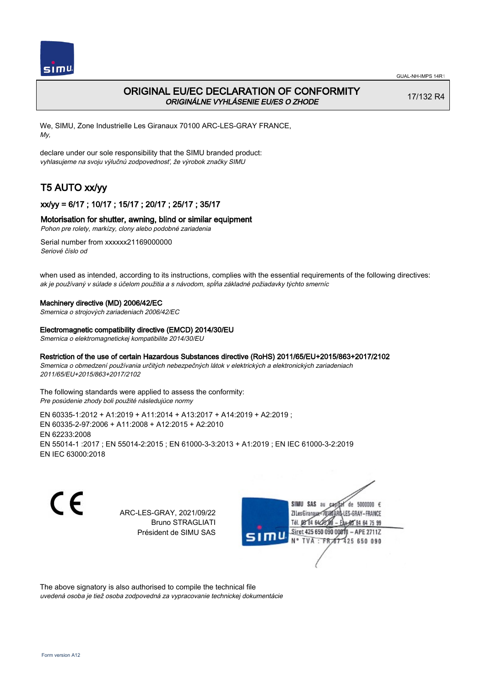

# ORIGINAL EU/EC DECLARATION OF CONFORMITY ORIGINÁLNE VYHLÁSENIE EU/ES O ZHODE

17/132 R4

We, SIMU, Zone Industrielle Les Giranaux 70100 ARC-LES-GRAY FRANCE, My,

declare under our sole responsibility that the SIMU branded product: vyhlasujeme na svoju výlučnú zodpovednosť, že výrobok značky SIMU

# T5 AUTO xx/yy

## xx/yy = 6/17 ; 10/17 ; 15/17 ; 20/17 ; 25/17 ; 35/17

## Motorisation for shutter, awning, blind or similar equipment

Pohon pre rolety, markízy, clony alebo podobné zariadenia

Serial number from xxxxxx21169000000 Seriové číslo od

when used as intended, according to its instructions, complies with the essential requirements of the following directives: ak je používaný v súlade s účelom použitia a s návodom, spĺňa základné požiadavky týchto smerníc

#### Machinery directive (MD) 2006/42/EC

Smernica o strojových zariadeniach 2006/42/EC

#### Electromagnetic compatibility directive (EMCD) 2014/30/EU

Smernica o elektromagnetickej kompatibilite 2014/30/EU

## Restriction of the use of certain Hazardous Substances directive (RoHS) 2011/65/EU+2015/863+2017/2102

Smernica o obmedzení používania určitých nebezpečných látok v elektrických a elektronických zariadeniach 2011/65/EU+2015/863+2017/2102

The following standards were applied to assess the conformity: Pre posúdenie zhody boli použité následujúce normy

EN 60335‑1:2012 + A1:2019 + A11:2014 + A13:2017 + A14:2019 + A2:2019 ; EN 60335‑2‑97:2006 + A11:2008 + A12:2015 + A2:2010 EN 62233:2008 EN 55014‑1 :2017 ; EN 55014‑2:2015 ; EN 61000‑3‑3:2013 + A1:2019 ; EN IEC 61000‑3‑2:2019 EN IEC 63000:2018

 $\epsilon$ 

ARC-LES-GRAY, 2021/09/22 Bruno STRAGLIATI Président de SIMU SAS



The above signatory is also authorised to compile the technical file

uvedená osoba je tiež osoba zodpovedná za vypracovanie technickej dokumentácie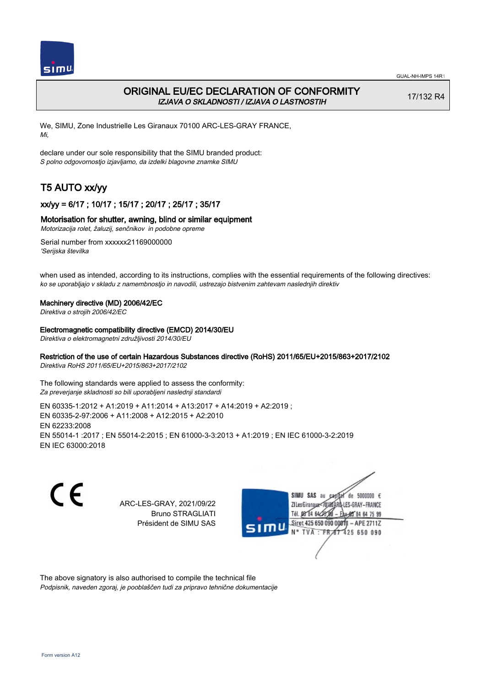

# ORIGINAL EU/EC DECLARATION OF CONFORMITY IZJAVA O SKLADNOSTI / IZJAVA O LASTNOSTIH

17/132 R4

We, SIMU, Zone Industrielle Les Giranaux 70100 ARC-LES-GRAY FRANCE, Mi,

declare under our sole responsibility that the SIMU branded product: S polno odgovornostjo izjavljamo, da izdelki blagovne znamke SIMU

# T5 AUTO xx/yy

## xx/yy = 6/17 ; 10/17 ; 15/17 ; 20/17 ; 25/17 ; 35/17

## Motorisation for shutter, awning, blind or similar equipment

Motorizacija rolet, žaluzij, senčnikov in podobne opreme

Serial number from xxxxxx21169000000 'Serijska številka

when used as intended, according to its instructions, complies with the essential requirements of the following directives: ko se uporabljajo v skladu z namembnostjo in navodili, ustrezajo bistvenim zahtevam naslednjih direktiv

### Machinery directive (MD) 2006/42/EC

Direktiva o strojih 2006/42/EC

#### Electromagnetic compatibility directive (EMCD) 2014/30/EU

Direktiva o elektromagnetni združljivosti 2014/30/EU

## Restriction of the use of certain Hazardous Substances directive (RoHS) 2011/65/EU+2015/863+2017/2102

Direktiva RoHS 2011/65/EU+2015/863+2017/2102

The following standards were applied to assess the conformity: Za preverjanje skladnosti so bili uporabljeni naslednji standardi

EN 60335‑1:2012 + A1:2019 + A11:2014 + A13:2017 + A14:2019 + A2:2019 ; EN 60335‑2‑97:2006 + A11:2008 + A12:2015 + A2:2010 EN 62233:2008 EN 55014‑1 :2017 ; EN 55014‑2:2015 ; EN 61000‑3‑3:2013 + A1:2019 ; EN IEC 61000‑3‑2:2019 EN IEC 63000:2018

C E

ARC-LES-GRAY, 2021/09/22 Bruno STRAGLIATI Président de SIMU SAS



The above signatory is also authorised to compile the technical file Podpisnik, naveden zgoraj, je pooblaščen tudi za pripravo tehnične dokumentacije